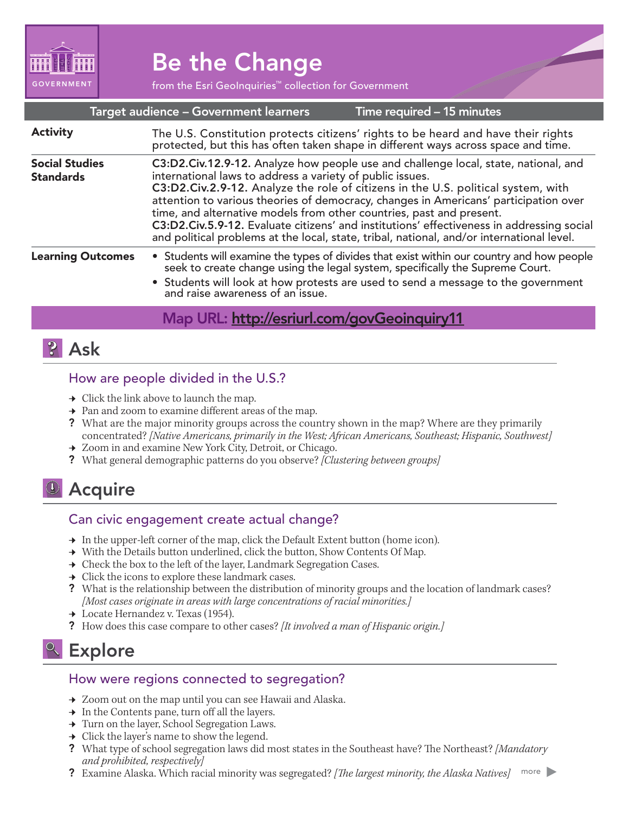

# Be the Change

from the Esri GeoInquiries™ collection for Government

#### Target audience – Government learners

Time required – 15 minutes

| <b>Activity</b>                           | The U.S. Constitution protects citizens' rights to be heard and have their rights protected, but this has often taken shape in different ways across space and time.                                                                                                                                                                                                                                                                                                                                                                                                                            |
|-------------------------------------------|-------------------------------------------------------------------------------------------------------------------------------------------------------------------------------------------------------------------------------------------------------------------------------------------------------------------------------------------------------------------------------------------------------------------------------------------------------------------------------------------------------------------------------------------------------------------------------------------------|
| <b>Social Studies</b><br><b>Standards</b> | C3:D2.Civ.12.9-12. Analyze how people use and challenge local, state, national, and<br>international laws to address a variety of public issues.<br>C3:D2.Civ.2.9-12. Analyze the role of citizens in the U.S. political system, with<br>attention to various theories of democracy, changes in Americans' participation over<br>time, and alternative models from other countries, past and present.<br>C3:D2.Civ.5.9-12. Evaluate citizens' and institutions' effectiveness in addressing social<br>and political problems at the local, state, tribal, national, and/or international level. |
| <b>Learning Outcomes</b>                  | • Students will examine the types of divides that exist within our country and how people seek to create change using the legal system, specifically the Supreme Court.<br>• Students will look at how protests are used to send a message to the government<br>and raise awareness of an issue.                                                                                                                                                                                                                                                                                                |
|                                           | $M \cup D \cup L \cup U \cup U$                                                                                                                                                                                                                                                                                                                                                                                                                                                                                                                                                                 |

## Map URL: <u>http://esriurl.com/govGeoinquiry11</u>

### **P** Ask

#### How are people divided in the U.S.?

- $\rightarrow$  Click the link above to launch the map.
- $\rightarrow$  Pan and zoom to examine different areas of the map.
- ? What are the major minority groups across the country shown in the map? Where are they primarily concentrated? *[Native Americans, primarily in the West; African Americans, Southeast; Hispanic, Southwest]*
- **→** Zoom in and examine New York City, Detroit, or Chicago.
- ? What general demographic patterns do you observe? *[Clustering between groups]*

### **D** Acquire

#### Can civic engagement create actual change?

- → In the upper-left corner of the map, click the Default Extent button (home icon).
- → With the Details button underlined, click the button, Show Contents Of Map.
- → Check the box to the left of the layer, Landmark Segregation Cases.
- $\rightarrow$  Click the icons to explore these landmark cases.
- ? What is the relationship between the distribution of minority groups and the location of landmark cases? *[Most cases originate in areas with large concentrations of racial minorities.]*
- $\rightarrow$  Locate Hernandez v. Texas (1954).
- ? How does this case compare to other cases? *[It involved a man of Hispanic origin.]*

### <sup>o</sup> Explore

#### How were regions connected to segregation?

- → Zoom out on the map until you can see Hawaii and Alaska.
- $\rightarrow$  In the Contents pane, turn off all the layers.
- → Turn on the layer, School Segregation Laws.
- $\rightarrow$  Click the layer's name to show the legend.
- ? What type of school segregation laws did most states in the Southeast have? The Northeast? *[Mandatory and prohibited, respectively]*
- ? Examine Alaska. Which racial minority was segregated? *[The largest minority, the Alaska Natives]* more